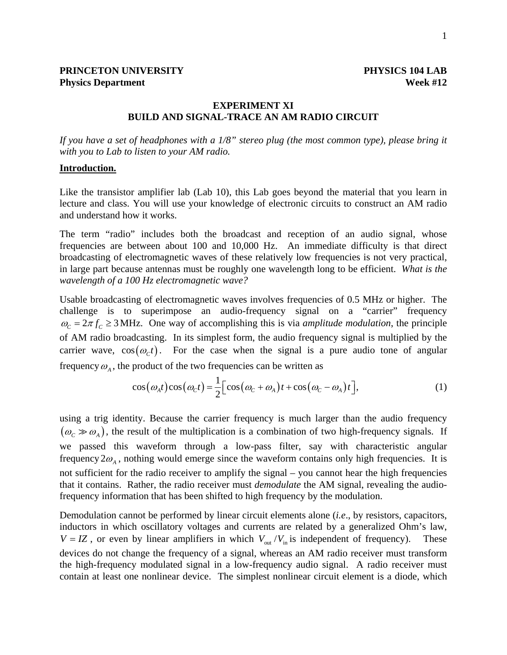### **EXPERIMENT XI BUILD AND SIGNAL-TRACE AN AM RADIO CIRCUIT**

*If you have a set of headphones with a 1/8" stereo plug (the most common type), please bring it with you to Lab to listen to your AM radio.* 

#### **Introduction.**

Like the transistor amplifier lab (Lab 10), this Lab goes beyond the material that you learn in lecture and class. You will use your knowledge of electronic circuits to construct an AM radio and understand how it works.

The term "radio" includes both the broadcast and reception of an audio signal, whose frequencies are between about 100 and 10,000 Hz. An immediate difficulty is that direct broadcasting of electromagnetic waves of these relatively low frequencies is not very practical, in large part because antennas must be roughly one wavelength long to be efficient. *What is the wavelength of a 100 Hz electromagnetic wave?* 

Usable broadcasting of electromagnetic waves involves frequencies of 0.5 MHz or higher. The challenge is to superimpose an audio-frequency signal on a "carrier" frequency  $\omega_c = 2\pi f_c \geq 3$  MHz. One way of accomplishing this is via *amplitude modulation*, the principle of AM radio broadcasting. In its simplest form, the audio frequency signal is multiplied by the carrier wave,  $cos(\omega_c t)$ . For the case when the signal is a pure audio tone of angular frequency  $\omega_A$ , the product of the two frequencies can be written as

$$
\cos(\omega_A t)\cos(\omega_C t) = \frac{1}{2} \Big[ \cos(\omega_C + \omega_A)t + \cos(\omega_C - \omega_A)t \Big],\tag{1}
$$

using a trig identity. Because the carrier frequency is much larger than the audio frequency  $(\omega_c \gg \omega_A)$ , the result of the multiplication is a combination of two high-frequency signals. If we passed this waveform through a low-pass filter, say with characteristic angular frequency  $2\omega_A$ , nothing would emerge since the waveform contains only high frequencies. It is not sufficient for the radio receiver to amplify the signal – you cannot hear the high frequencies that it contains. Rather, the radio receiver must *demodulate* the AM signal, revealing the audiofrequency information that has been shifted to high frequency by the modulation.

Demodulation cannot be performed by linear circuit elements alone (*i.e*., by resistors, capacitors, inductors in which oscillatory voltages and currents are related by a generalized Ohm's law,  $V = IZ$ , or even by linear amplifiers in which  $V_{out}/V_{in}$  is independent of frequency). These devices do not change the frequency of a signal, whereas an AM radio receiver must transform the high-frequency modulated signal in a low-frequency audio signal. A radio receiver must contain at least one nonlinear device. The simplest nonlinear circuit element is a diode, which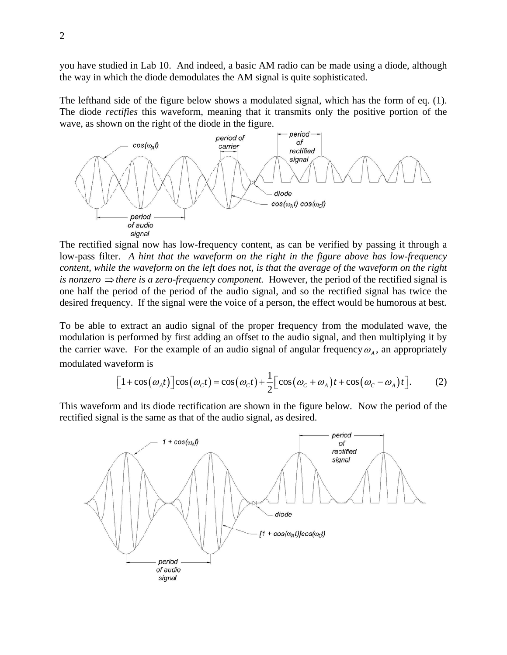you have studied in Lab 10. And indeed, a basic AM radio can be made using a diode, although the way in which the diode demodulates the AM signal is quite sophisticated.

The lefthand side of the figure below shows a modulated signal, which has the form of eq. (1). The diode *rectifies* this waveform, meaning that it transmits only the positive portion of the wave, as shown on the right of the diode in the figure.



The rectified signal now has low-frequency content, as can be verified by passing it through a low-pass filter. *A hint that the waveform on the right in the figure above has low-frequency content, while the waveform on the left does not, is that the average of the waveform on the right is nonzero*  $\Rightarrow$  *there is a zero-frequency component.* However, the period of the rectified signal is one half the period of the period of the audio signal, and so the rectified signal has twice the desired frequency. If the signal were the voice of a person, the effect would be humorous at best.

To be able to extract an audio signal of the proper frequency from the modulated wave, the modulation is performed by first adding an offset to the audio signal, and then multiplying it by the carrier wave. For the example of an audio signal of angular frequency  $\omega_A$ , an appropriately modulated waveform is

$$
\[1+\cos(\omega_A t)\]cos(\omega_C t) = \cos(\omega_C t) + \frac{1}{2}\Big[cos(\omega_C + \omega_A)t + cos(\omega_C - \omega_A)t\Big].\tag{2}
$$

This waveform and its diode rectification are shown in the figure below. Now the period of the rectified signal is the same as that of the audio signal, as desired.

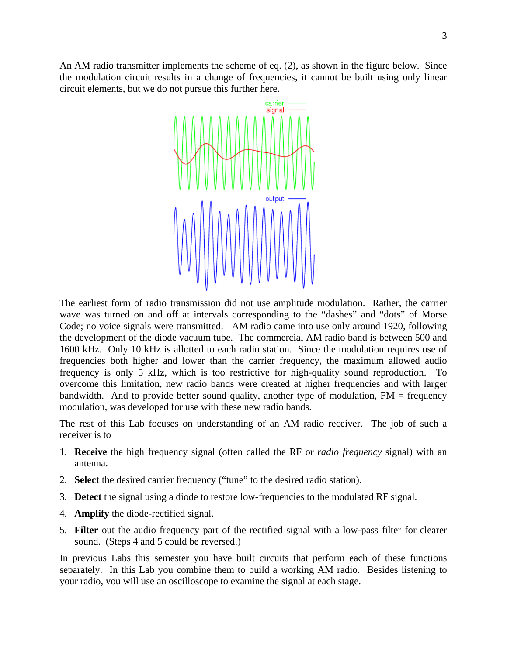An AM radio transmitter implements the scheme of eq. (2), as shown in the figure below. Since the modulation circuit results in a change of frequencies, it cannot be built using only linear circuit elements, but we do not pursue this further here.



The earliest form of radio transmission did not use amplitude modulation. Rather, the carrier wave was turned on and off at intervals corresponding to the "dashes" and "dots" of Morse Code; no voice signals were transmitted. AM radio came into use only around 1920, following the development of the diode vacuum tube. The commercial AM radio band is between 500 and 1600 kHz. Only 10 kHz is allotted to each radio station. Since the modulation requires use of frequencies both higher and lower than the carrier frequency, the maximum allowed audio frequency is only 5 kHz, which is too restrictive for high-quality sound reproduction. To overcome this limitation, new radio bands were created at higher frequencies and with larger bandwidth. And to provide better sound quality, another type of modulation,  $FM = frequency$ modulation, was developed for use with these new radio bands.

The rest of this Lab focuses on understanding of an AM radio receiver. The job of such a receiver is to

- 1. **Receive** the high frequency signal (often called the RF or *radio frequency* signal) with an antenna.
- 2. **Select** the desired carrier frequency ("tune" to the desired radio station).
- 3. **Detect** the signal using a diode to restore low-frequencies to the modulated RF signal.
- 4. **Amplify** the diode-rectified signal.
- 5. **Filter** out the audio frequency part of the rectified signal with a low-pass filter for clearer sound. (Steps 4 and 5 could be reversed.)

In previous Labs this semester you have built circuits that perform each of these functions separately. In this Lab you combine them to build a working AM radio. Besides listening to your radio, you will use an oscilloscope to examine the signal at each stage.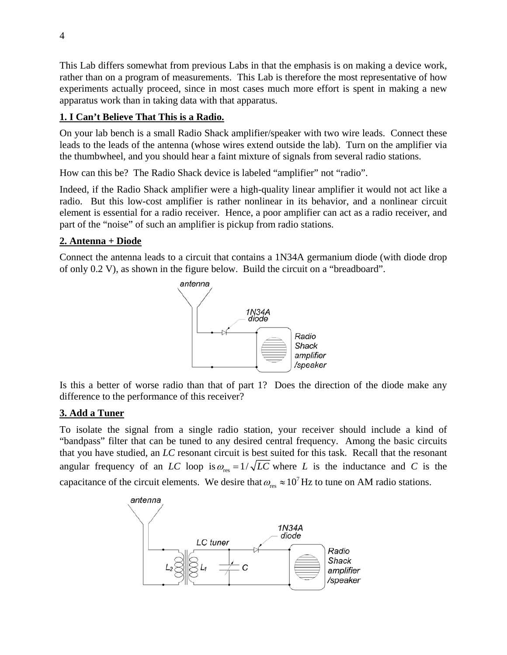This Lab differs somewhat from previous Labs in that the emphasis is on making a device work, rather than on a program of measurements. This Lab is therefore the most representative of how experiments actually proceed, since in most cases much more effort is spent in making a new apparatus work than in taking data with that apparatus.

# **1. I Can't Believe That This is a Radio.**

On your lab bench is a small Radio Shack amplifier/speaker with two wire leads. Connect these leads to the leads of the antenna (whose wires extend outside the lab). Turn on the amplifier via the thumbwheel, and you should hear a faint mixture of signals from several radio stations.

How can this be? The Radio Shack device is labeled "amplifier" not "radio".

Indeed, if the Radio Shack amplifier were a high-quality linear amplifier it would not act like a radio. But this low-cost amplifier is rather nonlinear in its behavior, and a nonlinear circuit element is essential for a radio receiver. Hence, a poor amplifier can act as a radio receiver, and part of the "noise" of such an amplifier is pickup from radio stations.

### **2. Antenna + Diode**

Connect the antenna leads to a circuit that contains a 1N34A germanium diode (with diode drop of only 0.2 V), as shown in the figure below. Build the circuit on a "breadboard".



Is this a better of worse radio than that of part 1? Does the direction of the diode make any difference to the performance of this receiver?

### **3. Add a Tuner**

To isolate the signal from a single radio station, your receiver should include a kind of "bandpass" filter that can be tuned to any desired central frequency. Among the basic circuits that you have studied, an *LC* resonant circuit is best suited for this task. Recall that the resonant angular frequency of an *LC* loop is  $\omega_{\text{res}} = 1/\sqrt{LC}$  where *L* is the inductance and *C* is the capacitance of the circuit elements. We desire that  $\omega_{\text{res}} \approx 10^7 \text{ Hz}$  to tune on AM radio stations.

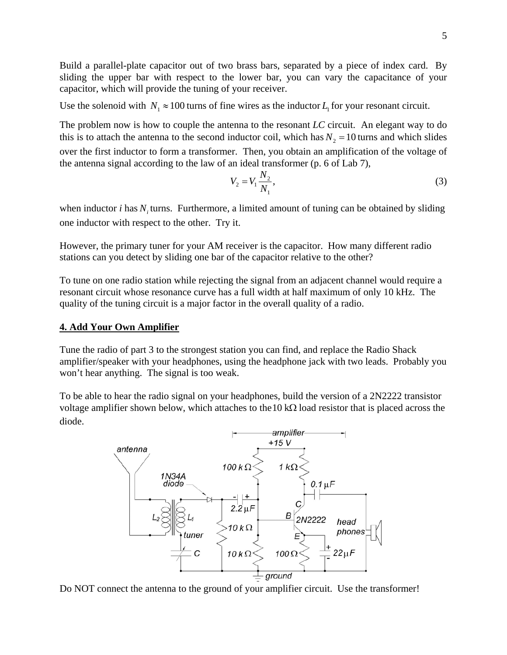Build a parallel-plate capacitor out of two brass bars, separated by a piece of index card. By sliding the upper bar with respect to the lower bar, you can vary the capacitance of your capacitor, which will provide the tuning of your receiver.

Use the solenoid with  $N_1 \approx 100$  turns of fine wires as the inductor  $L_1$  for your resonant circuit.

The problem now is how to couple the antenna to the resonant *LC* circuit. An elegant way to do this is to attach the antenna to the second inductor coil, which has  $N_2 = 10$  turns and which slides over the first inductor to form a transformer. Then, you obtain an amplification of the voltage of the antenna signal according to the law of an ideal transformer (p. 6 of Lab 7),

$$
V_2 = V_1 \frac{N_2}{N_1},
$$
\t(3)

when inductor  $i$  has  $N_i$  turns. Furthermore, a limited amount of tuning can be obtained by sliding one inductor with respect to the other. Try it.

However, the primary tuner for your AM receiver is the capacitor. How many different radio stations can you detect by sliding one bar of the capacitor relative to the other?

To tune on one radio station while rejecting the signal from an adjacent channel would require a resonant circuit whose resonance curve has a full width at half maximum of only 10 kHz. The quality of the tuning circuit is a major factor in the overall quality of a radio.

### **4. Add Your Own Amplifier**

Tune the radio of part 3 to the strongest station you can find, and replace the Radio Shack amplifier/speaker with your headphones, using the headphone jack with two leads. Probably you won't hear anything. The signal is too weak.

To be able to hear the radio signal on your headphones, build the version of a 2N2222 transistor voltage amplifier shown below, which attaches to the  $10 \text{ k}\Omega$  load resistor that is placed across the diode.



Do NOT connect the antenna to the ground of your amplifier circuit. Use the transformer!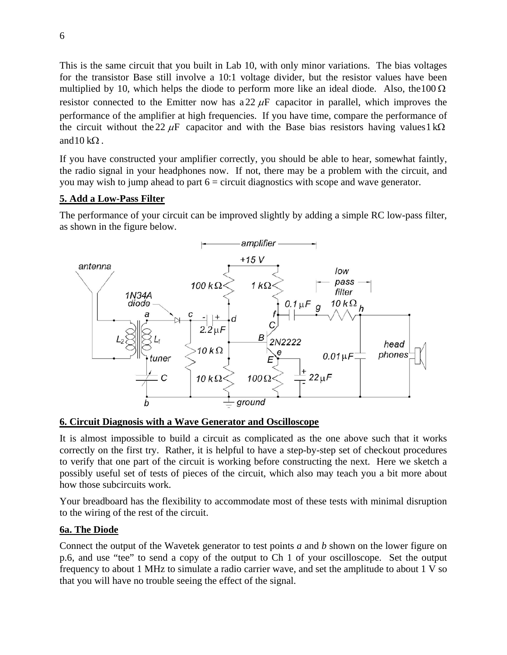This is the same circuit that you built in Lab 10, with only minor variations. The bias voltages for the transistor Base still involve a 10:1 voltage divider, but the resistor values have been multiplied by 10, which helps the diode to perform more like an ideal diode. Also, the 100  $\Omega$ resistor connected to the Emitter now has a 22  $\mu$ F capacitor in parallel, which improves the performance of the amplifier at high frequencies. If you have time, compare the performance of the circuit without the 22  $\mu$ F capacitor and with the Base bias resistors having values1 kΩ and 10 kΩ.

If you have constructed your amplifier correctly, you should be able to hear, somewhat faintly, the radio signal in your headphones now. If not, there may be a problem with the circuit, and you may wish to jump ahead to part  $6 =$  circuit diagnostics with scope and wave generator.

## **5. Add a Low-Pass Filter**

The performance of your circuit can be improved slightly by adding a simple RC low-pass filter, as shown in the figure below.



### **6. Circuit Diagnosis with a Wave Generator and Oscilloscope**

It is almost impossible to build a circuit as complicated as the one above such that it works correctly on the first try. Rather, it is helpful to have a step-by-step set of checkout procedures to verify that one part of the circuit is working before constructing the next. Here we sketch a possibly useful set of tests of pieces of the circuit, which also may teach you a bit more about how those subcircuits work.

Your breadboard has the flexibility to accommodate most of these tests with minimal disruption to the wiring of the rest of the circuit.

# **6a. The Diode**

Connect the output of the Wavetek generator to test points *a* and *b* shown on the lower figure on p.6, and use "tee" to send a copy of the output to Ch 1 of your oscilloscope. Set the output frequency to about 1 MHz to simulate a radio carrier wave, and set the amplitude to about 1 V so that you will have no trouble seeing the effect of the signal.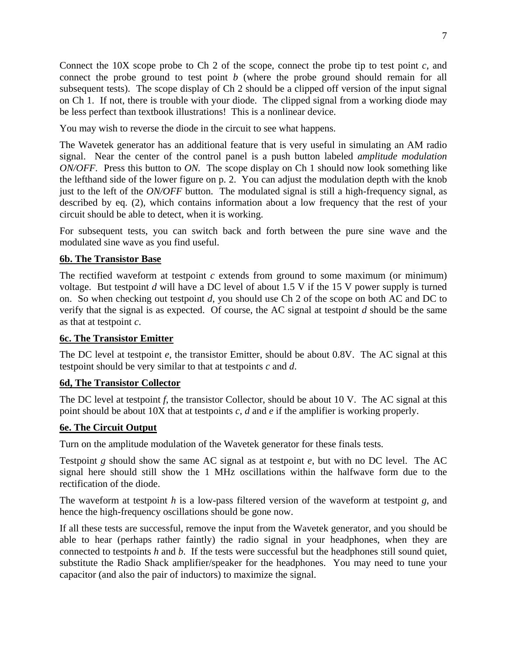Connect the 10X scope probe to Ch 2 of the scope, connect the probe tip to test point *c*, and connect the probe ground to test point *b* (where the probe ground should remain for all subsequent tests). The scope display of Ch 2 should be a clipped off version of the input signal on Ch 1. If not, there is trouble with your diode. The clipped signal from a working diode may be less perfect than textbook illustrations! This is a nonlinear device.

You may wish to reverse the diode in the circuit to see what happens.

The Wavetek generator has an additional feature that is very useful in simulating an AM radio signal. Near the center of the control panel is a push button labeled *amplitude modulation ON/OFF.* Press this button to *ON.* The scope display on Ch 1 should now look something like the lefthand side of the lower figure on p. 2. You can adjust the modulation depth with the knob just to the left of the *ON/OFF* button. The modulated signal is still a high-frequency signal, as described by eq. (2), which contains information about a low frequency that the rest of your circuit should be able to detect, when it is working.

For subsequent tests, you can switch back and forth between the pure sine wave and the modulated sine wave as you find useful.

## **6b. The Transistor Base**

The rectified waveform at testpoint *c* extends from ground to some maximum (or minimum) voltage. But testpoint *d* will have a DC level of about 1.5 V if the 15 V power supply is turned on. So when checking out testpoint *d*, you should use Ch 2 of the scope on both AC and DC to verify that the signal is as expected. Of course, the AC signal at testpoint *d* should be the same as that at testpoint *c*.

### **6c. The Transistor Emitter**

The DC level at testpoint *e*, the transistor Emitter, should be about 0.8V. The AC signal at this testpoint should be very similar to that at testpoints *c* and *d*.

### **6d, The Transistor Collector**

The DC level at testpoint *f*, the transistor Collector, should be about 10 V. The AC signal at this point should be about 10X that at testpoints *c*, *d* and *e* if the amplifier is working properly.

### **6e. The Circuit Output**

Turn on the amplitude modulation of the Wavetek generator for these finals tests.

Testpoint *g* should show the same AC signal as at testpoint *e*, but with no DC level. The AC signal here should still show the 1 MHz oscillations within the halfwave form due to the rectification of the diode.

The waveform at testpoint *h* is a low-pass filtered version of the waveform at testpoint *g*, and hence the high-frequency oscillations should be gone now.

If all these tests are successful, remove the input from the Wavetek generator, and you should be able to hear (perhaps rather faintly) the radio signal in your headphones, when they are connected to testpoints *h* and *b*. If the tests were successful but the headphones still sound quiet, substitute the Radio Shack amplifier/speaker for the headphones. You may need to tune your capacitor (and also the pair of inductors) to maximize the signal.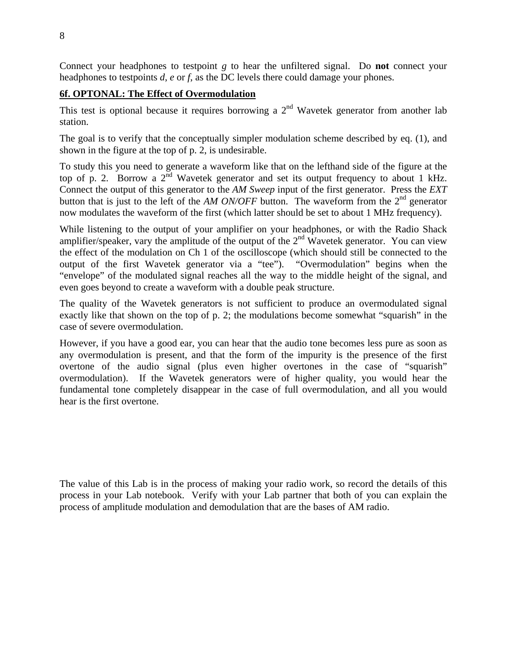Connect your headphones to testpoint *g* to hear the unfiltered signal. Do **not** connect your headphones to testpoints *d*, *e* or *f*, as the DC levels there could damage your phones.

## **6f. OPTONAL: The Effect of Overmodulation**

This test is optional because it requires borrowing a  $2<sup>nd</sup>$  Wavetek generator from another lab station.

The goal is to verify that the conceptually simpler modulation scheme described by eq. (1), and shown in the figure at the top of p. 2, is undesirable.

To study this you need to generate a waveform like that on the lefthand side of the figure at the top of p. 2. Borrow a  $2^{\text{nd}}$  Wavetek generator and set its output frequency to about 1 kHz. Connect the output of this generator to the *AM Sweep* input of the first generator. Press the *EXT* button that is just to the left of the *AM ON/OFF* button. The waveform from the 2<sup>nd</sup> generator now modulates the waveform of the first (which latter should be set to about 1 MHz frequency).

While listening to the output of your amplifier on your headphones, or with the Radio Shack amplifier/speaker, vary the amplitude of the output of the 2<sup>nd</sup> Wavetek generator. You can view the effect of the modulation on Ch 1 of the oscilloscope (which should still be connected to the output of the first Wavetek generator via a "tee"). "Overmodulation" begins when the "envelope" of the modulated signal reaches all the way to the middle height of the signal, and even goes beyond to create a waveform with a double peak structure.

The quality of the Wavetek generators is not sufficient to produce an overmodulated signal exactly like that shown on the top of p. 2; the modulations become somewhat "squarish" in the case of severe overmodulation.

However, if you have a good ear, you can hear that the audio tone becomes less pure as soon as any overmodulation is present, and that the form of the impurity is the presence of the first overtone of the audio signal (plus even higher overtones in the case of "squarish" overmodulation). If the Wavetek generators were of higher quality, you would hear the fundamental tone completely disappear in the case of full overmodulation, and all you would hear is the first overtone.

The value of this Lab is in the process of making your radio work, so record the details of this process in your Lab notebook. Verify with your Lab partner that both of you can explain the process of amplitude modulation and demodulation that are the bases of AM radio.